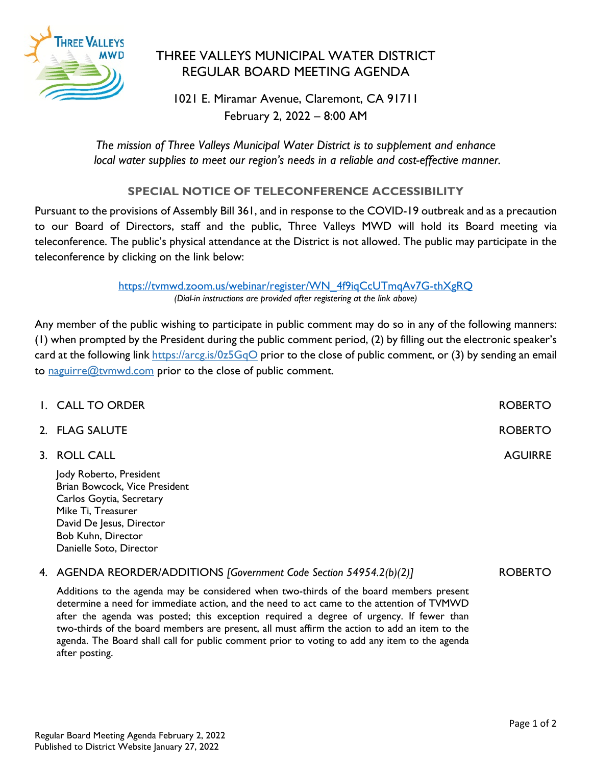

## THREE VALLEYS MUNICIPAL WATER DISTRICT REGULAR BOARD MEETING AGENDA

1021 E. Miramar Avenue, Claremont, CA 91711 February 2, 2022 – 8:00 AM

*The mission of Three Valleys Municipal Water District is to supplement and enhance local water supplies to meet our region's needs in a reliable and cost-effective manner.*

## **SPECIAL NOTICE OF TELECONFERENCE ACCESSIBILITY**

Pursuant to the provisions of Assembly Bill 361, and in response to the COVID-19 outbreak and as a precaution to our Board of Directors, staff and the public, Three Valleys MWD will hold its Board meeting via teleconference. The public's physical attendance at the District is not allowed. The public may participate in the teleconference by clicking on the link below:

> [https://tvmwd.zoom.us/webinar/register/WN\\_4f9iqCcUTmqAv7G-thXgRQ](https://tvmwd.zoom.us/webinar/register/WN_4f9iqCcUTmqAv7G-thXgRQ) *(Dial-in instructions are provided after registering at the link above)*

Any member of the public wishing to participate in public comment may do so in any of the following manners: (1) when prompted by the President during the public comment period, (2) by filling out the electronic speaker's card at the following link<https://arcg.is/0z5GqO> prior to the close of public comment, or (3) by sending an email to [naguirre@tvmwd.com](mailto:naguirre@tvmwd.com) prior to the close of public comment.

| I. CALL TO ORDER                                                                                                                                             | <b>ROBERTO</b> |
|--------------------------------------------------------------------------------------------------------------------------------------------------------------|----------------|
| 2. FLAG SALUTE                                                                                                                                               | <b>ROBERTO</b> |
| 3. ROLL CALL                                                                                                                                                 | <b>AGUIRRE</b> |
| Jody Roberto, President<br>Brian Bowcock, Vice President<br>Carlos Goytia, Secretary<br>Mike Ti, Treasurer<br>David De Jesus, Director<br>Bob Kuhn, Director |                |

## 4. AGENDA REORDER/ADDITIONS *[Government Code Section 54954.2(b)(2)]*

Additions to the agenda may be considered when two-thirds of the board members present determine a need for immediate action, and the need to act came to the attention of TVMWD after the agenda was posted; this exception required a degree of urgency. If fewer than two-thirds of the board members are present, all must affirm the action to add an item to the agenda. The Board shall call for public comment prior to voting to add any item to the agenda after posting.

Danielle Soto, Director

ROBERTO